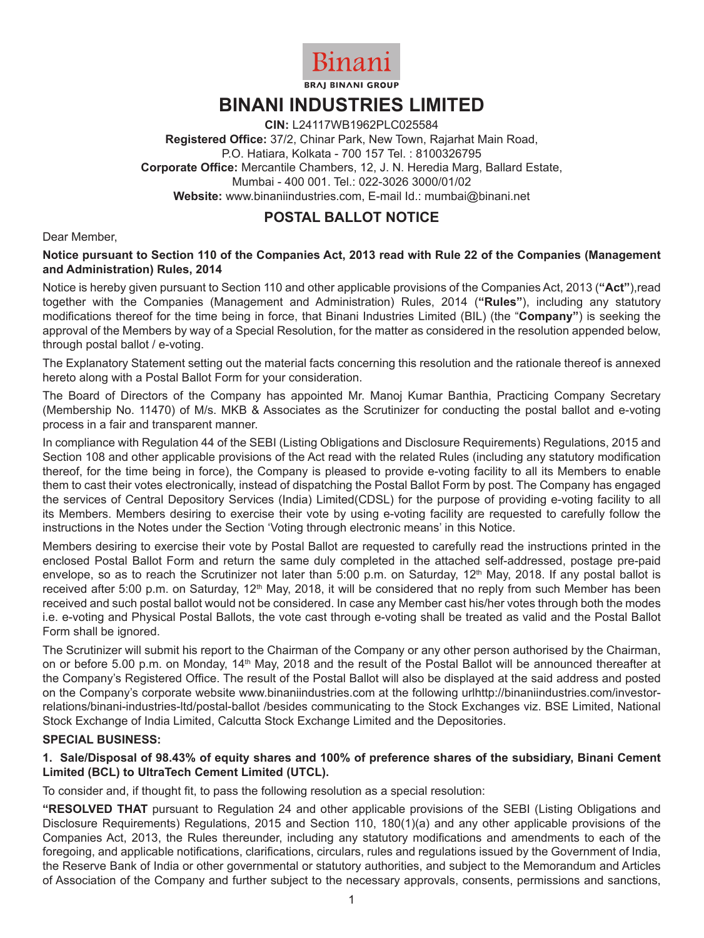

**BRAJ BINANI GROUP** 

# **BINANI INDUSTRIES LIMITED**

**CIN:** L24117WB1962PLC025584 **Registered Office:** 37/2, Chinar Park, New Town, Rajarhat Main Road, P.O. Hatiara, Kolkata - 700 157 Tel. : 8100326795 **Corporate Office:** Mercantile Chambers, 12, J. N. Heredia Marg, Ballard Estate, Mumbai - 400 001. Tel.: 022-3026 3000/01/02 **Website:** www.binaniindustries.com, E-mail Id.: mumbai@binani.net

## **POSTAL BALLOT NOTICE**

Dear Member,

#### **Notice pursuant to Section 110 of the Companies Act, 2013 read with Rule 22 of the Companies (Management and Administration) Rules, 2014**

Notice is hereby given pursuant to Section 110 and other applicable provisions of the Companies Act, 2013 (**"Act"**),read together with the Companies (Management and Administration) Rules, 2014 (**"Rules"**), including any statutory modifications thereof for the time being in force, that Binani Industries Limited (BIL) (the "**Company"**) is seeking the approval of the Members by way of a Special Resolution, for the matter as considered in the resolution appended below, through postal ballot / e-voting.

The Explanatory Statement setting out the material facts concerning this resolution and the rationale thereof is annexed hereto along with a Postal Ballot Form for your consideration.

The Board of Directors of the Company has appointed Mr. Manoj Kumar Banthia, Practicing Company Secretary (Membership No. 11470) of M/s. MKB & Associates as the Scrutinizer for conducting the postal ballot and e-voting process in a fair and transparent manner.

In compliance with Regulation 44 of the SEBI (Listing Obligations and Disclosure Requirements) Regulations, 2015 and Section 108 and other applicable provisions of the Act read with the related Rules (including any statutory modification thereof, for the time being in force), the Company is pleased to provide e-voting facility to all its Members to enable them to cast their votes electronically, instead of dispatching the Postal Ballot Form by post. The Company has engaged the services of Central Depository Services (India) Limited(CDSL) for the purpose of providing e-voting facility to all its Members. Members desiring to exercise their vote by using e-voting facility are requested to carefully follow the instructions in the Notes under the Section 'Voting through electronic means' in this Notice.

Members desiring to exercise their vote by Postal Ballot are requested to carefully read the instructions printed in the enclosed Postal Ballot Form and return the same duly completed in the attached self-addressed, postage pre-paid envelope, so as to reach the Scrutinizer not later than 5:00 p.m. on Saturday,  $12<sup>th</sup>$  May, 2018. If any postal ballot is received after 5:00 p.m. on Saturday, 12<sup>th</sup> May, 2018, it will be considered that no reply from such Member has been received and such postal ballot would not be considered. In case any Member cast his/her votes through both the modes i.e. e-voting and Physical Postal Ballots, the vote cast through e-voting shall be treated as valid and the Postal Ballot Form shall be ignored.

The Scrutinizer will submit his report to the Chairman of the Company or any other person authorised by the Chairman, on or before 5.00 p.m. on Monday, 14<sup>th</sup> May, 2018 and the result of the Postal Ballot will be announced thereafter at the Company's Registered Office. The result of the Postal Ballot will also be displayed at the said address and posted on the Company's corporate website www.binaniindustries.com at the following urlhttp://binaniindustries.com/investorrelations/binani-industries-ltd/postal-ballot /besides communicating to the Stock Exchanges viz. BSE Limited, National Stock Exchange of India Limited, Calcutta Stock Exchange Limited and the Depositories.

### **SPECIAL BUSINESS:**

#### **1. Sale/Disposal of 98.43% of equity shares and 100% of preference shares of the subsidiary, Binani Cement Limited (BCL) to UltraTech Cement Limited (UTCL).**

To consider and, if thought fit, to pass the following resolution as a special resolution:

**"RESOLVED THAT** pursuant to Regulation 24 and other applicable provisions of the SEBI (Listing Obligations and Disclosure Requirements) Regulations, 2015 and Section 110, 180(1)(a) and any other applicable provisions of the Companies Act, 2013, the Rules thereunder, including any statutory modifications and amendments to each of the foregoing, and applicable notifications, clarifications, circulars, rules and regulations issued by the Government of India, the Reserve Bank of India or other governmental or statutory authorities, and subject to the Memorandum and Articles of Association of the Company and further subject to the necessary approvals, consents, permissions and sanctions,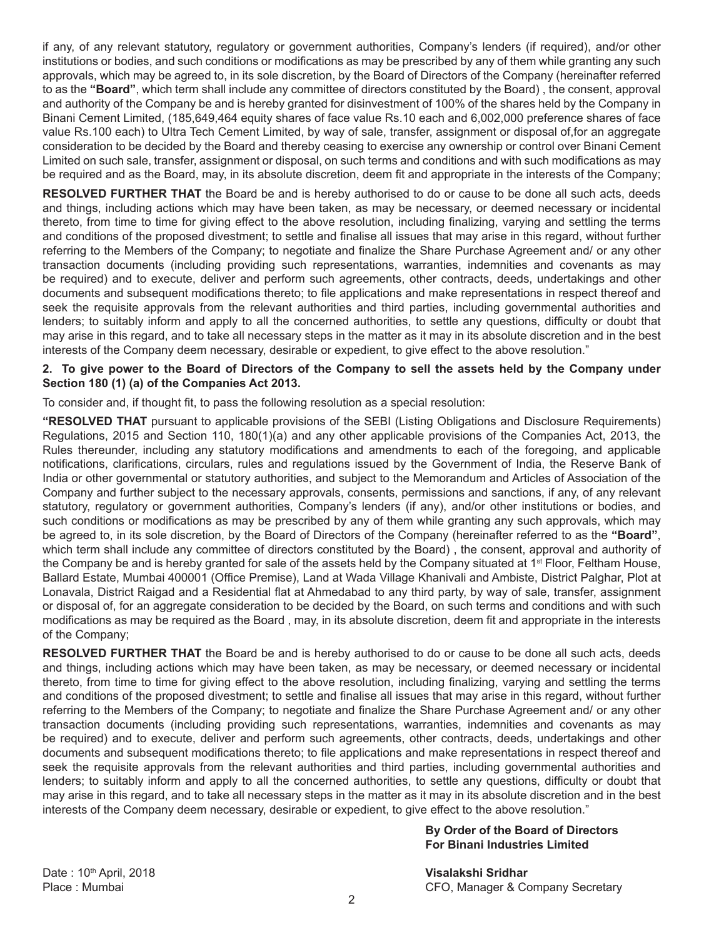if any, of any relevant statutory, regulatory or government authorities, Company's lenders (if required), and/or other institutions or bodies, and such conditions or modifications as may be prescribed by any of them while granting any such approvals, which may be agreed to, in its sole discretion, by the Board of Directors of the Company (hereinafter referred to as the **"Board"**, which term shall include any committee of directors constituted by the Board) , the consent, approval and authority of the Company be and is hereby granted for disinvestment of 100% of the shares held by the Company in Binani Cement Limited, (185,649,464 equity shares of face value Rs.10 each and 6,002,000 preference shares of face value Rs.100 each) to Ultra Tech Cement Limited, by way of sale, transfer, assignment or disposal of,for an aggregate consideration to be decided by the Board and thereby ceasing to exercise any ownership or control over Binani Cement Limited on such sale, transfer, assignment or disposal, on such terms and conditions and with such modifications as may be required and as the Board, may, in its absolute discretion, deem fit and appropriate in the interests of the Company;

**RESOLVED FURTHER THAT** the Board be and is hereby authorised to do or cause to be done all such acts, deeds and things, including actions which may have been taken, as may be necessary, or deemed necessary or incidental thereto, from time to time for giving effect to the above resolution, including finalizing, varying and settling the terms and conditions of the proposed divestment; to settle and finalise all issues that may arise in this regard, without further referring to the Members of the Company; to negotiate and finalize the Share Purchase Agreement and/ or any other transaction documents (including providing such representations, warranties, indemnities and covenants as may be required) and to execute, deliver and perform such agreements, other contracts, deeds, undertakings and other documents and subsequent modifications thereto; to file applications and make representations in respect thereof and seek the requisite approvals from the relevant authorities and third parties, including governmental authorities and lenders; to suitably inform and apply to all the concerned authorities, to settle any questions, difficulty or doubt that may arise in this regard, and to take all necessary steps in the matter as it may in its absolute discretion and in the best interests of the Company deem necessary, desirable or expedient, to give effect to the above resolution."

#### **2. To give power to the Board of Directors of the Company to sell the assets held by the Company under Section 180 (1) (a) of the Companies Act 2013.**

To consider and, if thought fit, to pass the following resolution as a special resolution:

**"RESOLVED THAT** pursuant to applicable provisions of the SEBI (Listing Obligations and Disclosure Requirements) Regulations, 2015 and Section 110, 180(1)(a) and any other applicable provisions of the Companies Act, 2013, the Rules thereunder, including any statutory modifications and amendments to each of the foregoing, and applicable notifications, clarifications, circulars, rules and regulations issued by the Government of India, the Reserve Bank of India or other governmental or statutory authorities, and subject to the Memorandum and Articles of Association of the Company and further subject to the necessary approvals, consents, permissions and sanctions, if any, of any relevant statutory, regulatory or government authorities, Company's lenders (if any), and/or other institutions or bodies, and such conditions or modifications as may be prescribed by any of them while granting any such approvals, which may be agreed to, in its sole discretion, by the Board of Directors of the Company (hereinafter referred to as the **"Board"**, which term shall include any committee of directors constituted by the Board), the consent, approval and authority of the Company be and is hereby granted for sale of the assets held by the Company situated at 1<sup>st</sup> Floor, Feltham House, Ballard Estate, Mumbai 400001 (Office Premise), Land at Wada Village Khanivali and Ambiste, District Palghar, Plot at Lonavala, District Raigad and a Residential flat at Ahmedabad to any third party, by way of sale, transfer, assignment or disposal of, for an aggregate consideration to be decided by the Board, on such terms and conditions and with such modifications as may be required as the Board , may, in its absolute discretion, deem fit and appropriate in the interests of the Company;

**RESOLVED FURTHER THAT** the Board be and is hereby authorised to do or cause to be done all such acts, deeds and things, including actions which may have been taken, as may be necessary, or deemed necessary or incidental thereto, from time to time for giving effect to the above resolution, including finalizing, varying and settling the terms and conditions of the proposed divestment; to settle and finalise all issues that may arise in this regard, without further referring to the Members of the Company; to negotiate and finalize the Share Purchase Agreement and/ or any other transaction documents (including providing such representations, warranties, indemnities and covenants as may be required) and to execute, deliver and perform such agreements, other contracts, deeds, undertakings and other documents and subsequent modifications thereto; to file applications and make representations in respect thereof and seek the requisite approvals from the relevant authorities and third parties, including governmental authorities and lenders; to suitably inform and apply to all the concerned authorities, to settle any questions, difficulty or doubt that may arise in this regard, and to take all necessary steps in the matter as it may in its absolute discretion and in the best interests of the Company deem necessary, desirable or expedient, to give effect to the above resolution."

#### **By Order of the Board of Directors For Binani Industries Limited**

Date : 10th April, 2018 **Visalakshi Sridhar**

Place : Mumbai CFO, Manager & Company Secretary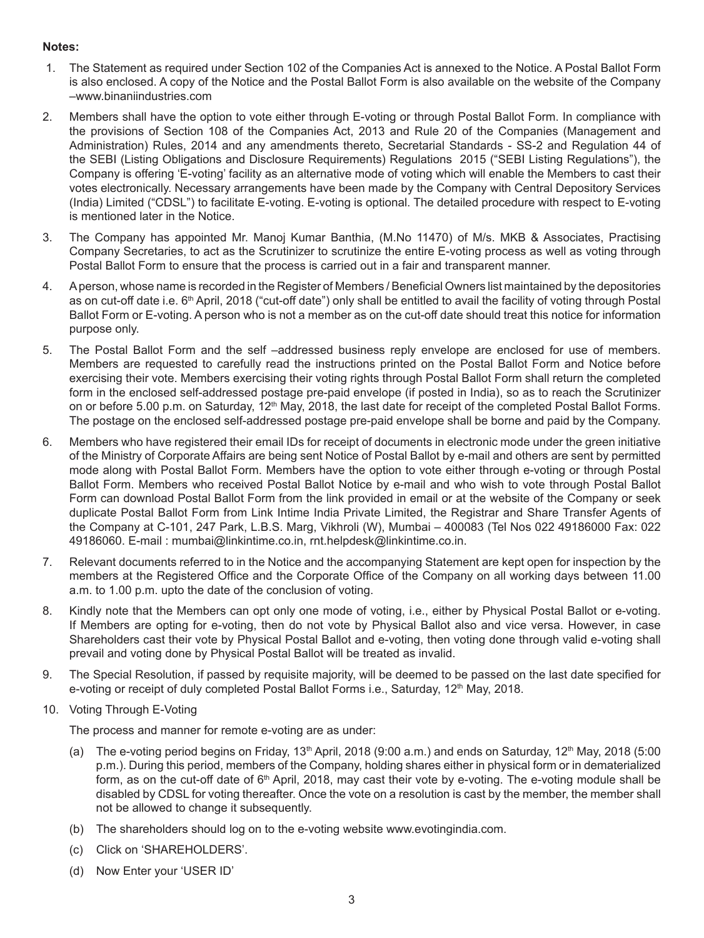#### **Notes:**

- 1. The Statement as required under Section 102 of the Companies Act is annexed to the Notice. A Postal Ballot Form is also enclosed. A copy of the Notice and the Postal Ballot Form is also available on the website of the Company –www.binaniindustries.com
- 2. Members shall have the option to vote either through E-voting or through Postal Ballot Form. In compliance with the provisions of Section 108 of the Companies Act, 2013 and Rule 20 of the Companies (Management and Administration) Rules, 2014 and any amendments thereto, Secretarial Standards - SS-2 and Regulation 44 of the SEBI (Listing Obligations and Disclosure Requirements) Regulations 2015 ("SEBI Listing Regulations"), the Company is offering 'E-voting' facility as an alternative mode of voting which will enable the Members to cast their votes electronically. Necessary arrangements have been made by the Company with Central Depository Services (India) Limited ("CDSL") to facilitate E-voting. E-voting is optional. The detailed procedure with respect to E-voting is mentioned later in the Notice.
- 3. The Company has appointed Mr. Manoj Kumar Banthia, (M.No 11470) of M/s. MKB & Associates, Practising Company Secretaries, to act as the Scrutinizer to scrutinize the entire E-voting process as well as voting through Postal Ballot Form to ensure that the process is carried out in a fair and transparent manner.
- 4. A person, whose name is recorded in the Register of Members / Beneficial Owners list maintained by the depositories as on cut-off date i.e. 6<sup>th</sup> April, 2018 ("cut-off date") only shall be entitled to avail the facility of voting through Postal Ballot Form or E-voting. A person who is not a member as on the cut-off date should treat this notice for information purpose only.
- 5. The Postal Ballot Form and the self –addressed business reply envelope are enclosed for use of members. Members are requested to carefully read the instructions printed on the Postal Ballot Form and Notice before exercising their vote. Members exercising their voting rights through Postal Ballot Form shall return the completed form in the enclosed self-addressed postage pre-paid envelope (if posted in India), so as to reach the Scrutinizer on or before 5.00 p.m. on Saturday, 12<sup>th</sup> May, 2018, the last date for receipt of the completed Postal Ballot Forms. The postage on the enclosed self-addressed postage pre-paid envelope shall be borne and paid by the Company.
- 6. Members who have registered their email IDs for receipt of documents in electronic mode under the green initiative of the Ministry of Corporate Affairs are being sent Notice of Postal Ballot by e-mail and others are sent by permitted mode along with Postal Ballot Form. Members have the option to vote either through e-voting or through Postal Ballot Form. Members who received Postal Ballot Notice by e-mail and who wish to vote through Postal Ballot Form can download Postal Ballot Form from the link provided in email or at the website of the Company or seek duplicate Postal Ballot Form from Link Intime India Private Limited, the Registrar and Share Transfer Agents of the Company at C-101, 247 Park, L.B.S. Marg, Vikhroli (W), Mumbai – 400083 (Tel Nos 022 49186000 Fax: 022 49186060. E-mail : mumbai@linkintime.co.in, rnt.helpdesk@linkintime.co.in.
- 7. Relevant documents referred to in the Notice and the accompanying Statement are kept open for inspection by the members at the Registered Office and the Corporate Office of the Company on all working days between 11.00 a.m. to 1.00 p.m. upto the date of the conclusion of voting.
- 8. Kindly note that the Members can opt only one mode of voting, i.e., either by Physical Postal Ballot or e-voting. If Members are opting for e-voting, then do not vote by Physical Ballot also and vice versa. However, in case Shareholders cast their vote by Physical Postal Ballot and e-voting, then voting done through valid e-voting shall prevail and voting done by Physical Postal Ballot will be treated as invalid.
- 9. The Special Resolution, if passed by requisite majority, will be deemed to be passed on the last date specified for e-voting or receipt of duly completed Postal Ballot Forms i.e., Saturday, 12<sup>th</sup> May, 2018.
- 10. Voting Through E-Voting

The process and manner for remote e-voting are as under:

- (a) The e-voting period begins on Friday, 13<sup>th</sup> April, 2018 (9:00 a.m.) and ends on Saturday, 12<sup>th</sup> May, 2018 (5:00 p.m.). During this period, members of the Company, holding shares either in physical form or in dematerialized form, as on the cut-off date of  $6<sup>th</sup>$  April, 2018, may cast their vote by e-voting. The e-voting module shall be disabled by CDSL for voting thereafter. Once the vote on a resolution is cast by the member, the member shall not be allowed to change it subsequently.
- (b) The shareholders should log on to the e-voting website www.evotingindia.com.
- (c) Click on 'SHAREHOLDERS'.
- (d) Now Enter your 'USER ID'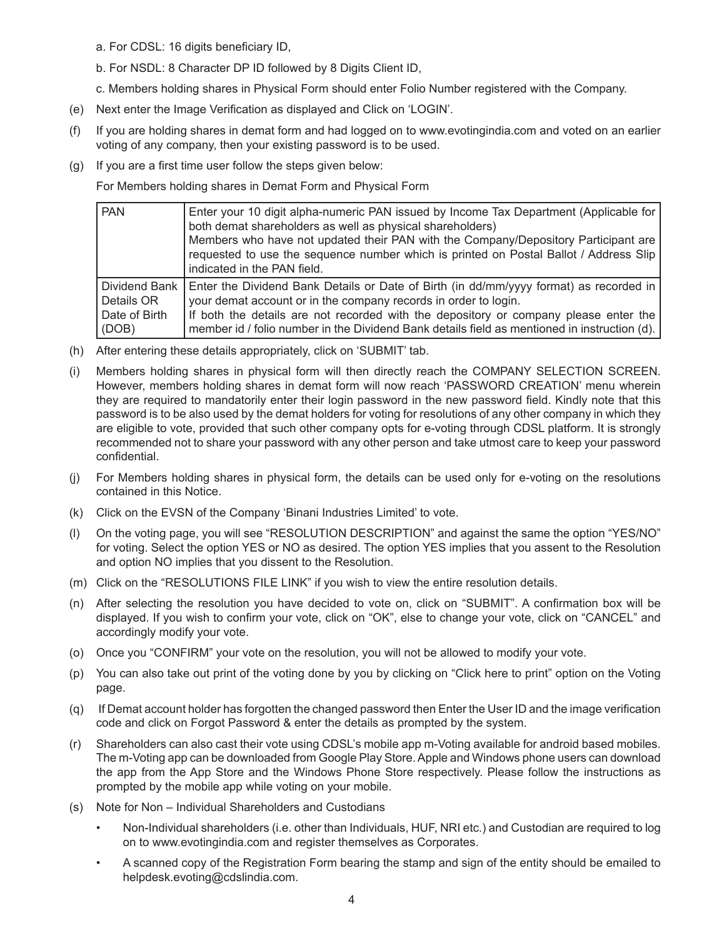- a. For CDSL: 16 digits beneficiary ID,
- b. For NSDL: 8 Character DP ID followed by 8 Digits Client ID,
- c. Members holding shares in Physical Form should enter Folio Number registered with the Company.
- (e) Next enter the Image Verification as displayed and Click on 'LOGIN'.
- (f) If you are holding shares in demat form and had logged on to www.evotingindia.com and voted on an earlier voting of any company, then your existing password is to be used.
- (g) If you are a first time user follow the steps given below:

For Members holding shares in Demat Form and Physical Form

| <b>PAN</b>    | Enter your 10 digit alpha-numeric PAN issued by Income Tax Department (Applicable for<br>both demat shareholders as well as physical shareholders)<br>Members who have not updated their PAN with the Company/Depository Participant are<br>requested to use the sequence number which is printed on Postal Ballot / Address Slip<br>indicated in the PAN field. |
|---------------|------------------------------------------------------------------------------------------------------------------------------------------------------------------------------------------------------------------------------------------------------------------------------------------------------------------------------------------------------------------|
| Dividend Bank | Enter the Dividend Bank Details or Date of Birth (in dd/mm/yyyy format) as recorded in                                                                                                                                                                                                                                                                           |
| Details OR    | your demat account or in the company records in order to login.                                                                                                                                                                                                                                                                                                  |
| Date of Birth | If both the details are not recorded with the depository or company please enter the                                                                                                                                                                                                                                                                             |
| (DOB)         | member id / folio number in the Dividend Bank details field as mentioned in instruction (d).                                                                                                                                                                                                                                                                     |

- (h) After entering these details appropriately, click on 'SUBMIT' tab.
- (i) Members holding shares in physical form will then directly reach the COMPANY SELECTION SCREEN. However, members holding shares in demat form will now reach 'PASSWORD CREATION' menu wherein they are required to mandatorily enter their login password in the new password field. Kindly note that this password is to be also used by the demat holders for voting for resolutions of any other company in which they are eligible to vote, provided that such other company opts for e-voting through CDSL platform. It is strongly recommended not to share your password with any other person and take utmost care to keep your password confidential.
- (j) For Members holding shares in physical form, the details can be used only for e-voting on the resolutions contained in this Notice.
- (k) Click on the EVSN of the Company 'Binani Industries Limited' to vote.
- (l) On the voting page, you will see "RESOLUTION DESCRIPTION" and against the same the option "YES/NO" for voting. Select the option YES or NO as desired. The option YES implies that you assent to the Resolution and option NO implies that you dissent to the Resolution.
- (m) Click on the "RESOLUTIONS FILE LINK" if you wish to view the entire resolution details.
- (n) After selecting the resolution you have decided to vote on, click on "SUBMIT". A confirmation box will be displayed. If you wish to confirm your vote, click on "OK", else to change your vote, click on "CANCEL" and accordingly modify your vote.
- (o) Once you "CONFIRM" your vote on the resolution, you will not be allowed to modify your vote.
- (p) You can also take out print of the voting done by you by clicking on "Click here to print" option on the Voting page.
- (q) If Demat account holder has forgotten the changed password then Enter the User ID and the image verification code and click on Forgot Password & enter the details as prompted by the system.
- (r) Shareholders can also cast their vote using CDSL's mobile app m-Voting available for android based mobiles. The m-Voting app can be downloaded from Google Play Store. Apple and Windows phone users can download the app from the App Store and the Windows Phone Store respectively. Please follow the instructions as prompted by the mobile app while voting on your mobile.
- (s) Note for Non Individual Shareholders and Custodians
	- Non-Individual shareholders (i.e. other than Individuals, HUF, NRI etc.) and Custodian are required to log on to www.evotingindia.com and register themselves as Corporates.
	- A scanned copy of the Registration Form bearing the stamp and sign of the entity should be emailed to helpdesk.evoting@cdslindia.com.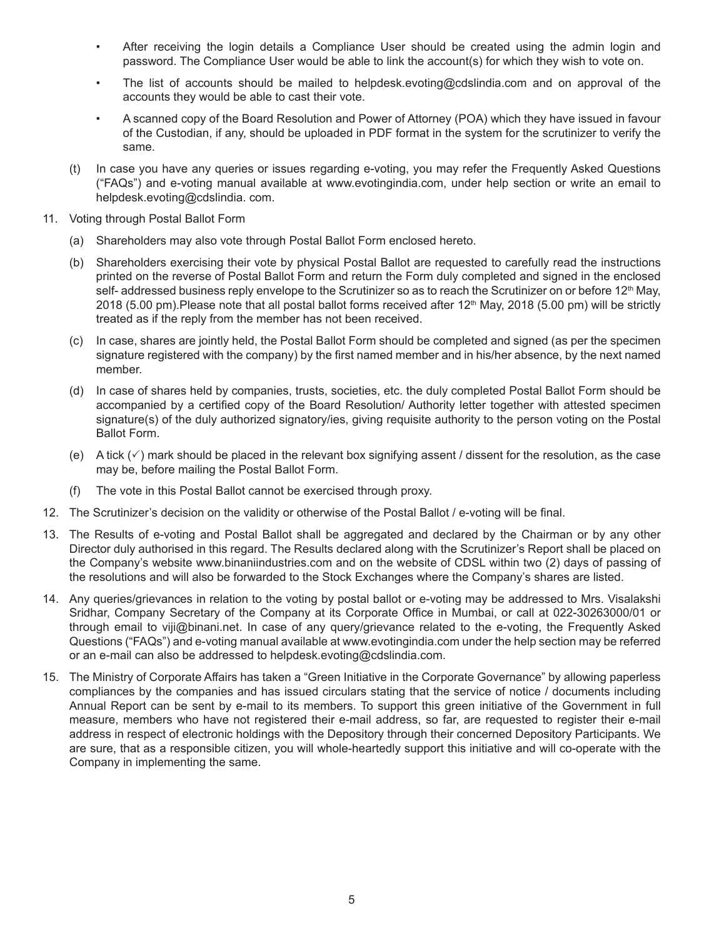- After receiving the login details a Compliance User should be created using the admin login and password. The Compliance User would be able to link the account(s) for which they wish to vote on.
- The list of accounts should be mailed to helpdesk.evoting@cdslindia.com and on approval of the accounts they would be able to cast their vote.
- A scanned copy of the Board Resolution and Power of Attorney (POA) which they have issued in favour of the Custodian, if any, should be uploaded in PDF format in the system for the scrutinizer to verify the same.
- (t) In case you have any queries or issues regarding e-voting, you may refer the Frequently Asked Questions ("FAQs") and e-voting manual available at www.evotingindia.com, under help section or write an email to helpdesk.evoting@cdslindia. com.
- 11. Voting through Postal Ballot Form
	- (a) Shareholders may also vote through Postal Ballot Form enclosed hereto.
	- (b) Shareholders exercising their vote by physical Postal Ballot are requested to carefully read the instructions printed on the reverse of Postal Ballot Form and return the Form duly completed and signed in the enclosed self- addressed business reply envelope to the Scrutinizer so as to reach the Scrutinizer on or before 12<sup>th</sup> May, 2018 (5.00 pm). Please note that all postal ballot forms received after 12<sup>th</sup> May, 2018 (5.00 pm) will be strictly treated as if the reply from the member has not been received.
	- (c) In case, shares are jointly held, the Postal Ballot Form should be completed and signed (as per the specimen signature registered with the company) by the first named member and in his/her absence, by the next named member.
	- (d) In case of shares held by companies, trusts, societies, etc. the duly completed Postal Ballot Form should be accompanied by a certified copy of the Board Resolution/ Authority letter together with attested specimen signature(s) of the duly authorized signatory/ies, giving requisite authority to the person voting on the Postal Ballot Form.
	- (e) A tick  $(\checkmark)$  mark should be placed in the relevant box signifying assent / dissent for the resolution, as the case may be, before mailing the Postal Ballot Form.
	- (f) The vote in this Postal Ballot cannot be exercised through proxy.
- 12. The Scrutinizer's decision on the validity or otherwise of the Postal Ballot / e-voting will be final.
- 13. The Results of e-voting and Postal Ballot shall be aggregated and declared by the Chairman or by any other Director duly authorised in this regard. The Results declared along with the Scrutinizer's Report shall be placed on the Company's website www.binaniindustries.com and on the website of CDSL within two (2) days of passing of the resolutions and will also be forwarded to the Stock Exchanges where the Company's shares are listed.
- 14. Any queries/grievances in relation to the voting by postal ballot or e-voting may be addressed to Mrs. Visalakshi Sridhar, Company Secretary of the Company at its Corporate Office in Mumbai, or call at 022-30263000/01 or through email to viji@binani.net. In case of any query/grievance related to the e-voting, the Frequently Asked Questions ("FAQs") and e-voting manual available at www.evotingindia.com under the help section may be referred or an e-mail can also be addressed to helpdesk.evoting@cdslindia.com.
- 15. The Ministry of Corporate Affairs has taken a "Green Initiative in the Corporate Governance" by allowing paperless compliances by the companies and has issued circulars stating that the service of notice / documents including Annual Report can be sent by e-mail to its members. To support this green initiative of the Government in full measure, members who have not registered their e-mail address, so far, are requested to register their e-mail address in respect of electronic holdings with the Depository through their concerned Depository Participants. We are sure, that as a responsible citizen, you will whole-heartedly support this initiative and will co-operate with the Company in implementing the same.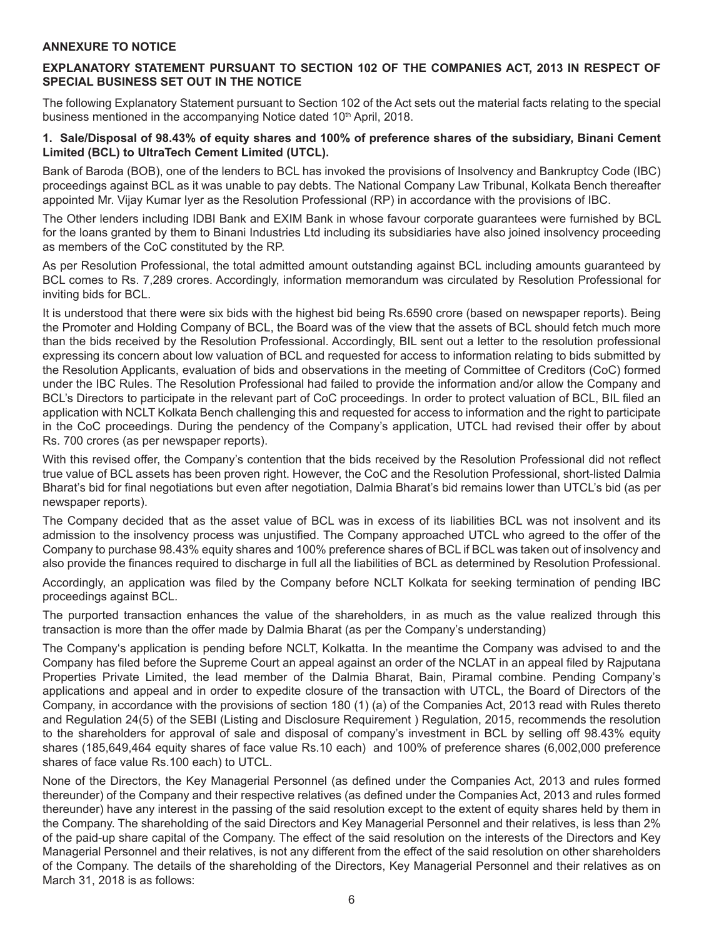#### **ANNEXURE TO NOTICE**

#### **EXPLANATORY STATEMENT PURSUANT TO SECTION 102 OF THE COMPANIES ACT, 2013 IN RESPECT OF SPECIAL BUSINESS SET OUT IN THE NOTICE**

The following Explanatory Statement pursuant to Section 102 of the Act sets out the material facts relating to the special business mentioned in the accompanying Notice dated 10<sup>th</sup> April, 2018.

#### **1. Sale/Disposal of 98.43% of equity shares and 100% of preference shares of the subsidiary, Binani Cement Limited (BCL) to UltraTech Cement Limited (UTCL).**

Bank of Baroda (BOB), one of the lenders to BCL has invoked the provisions of Insolvency and Bankruptcy Code (IBC) proceedings against BCL as it was unable to pay debts. The National Company Law Tribunal, Kolkata Bench thereafter appointed Mr. Vijay Kumar Iyer as the Resolution Professional (RP) in accordance with the provisions of IBC.

The Other lenders including IDBI Bank and EXIM Bank in whose favour corporate guarantees were furnished by BCL for the loans granted by them to Binani Industries Ltd including its subsidiaries have also joined insolvency proceeding as members of the CoC constituted by the RP.

As per Resolution Professional, the total admitted amount outstanding against BCL including amounts guaranteed by BCL comes to Rs. 7,289 crores. Accordingly, information memorandum was circulated by Resolution Professional for inviting bids for BCL.

It is understood that there were six bids with the highest bid being Rs.6590 crore (based on newspaper reports). Being the Promoter and Holding Company of BCL, the Board was of the view that the assets of BCL should fetch much more than the bids received by the Resolution Professional. Accordingly, BIL sent out a letter to the resolution professional expressing its concern about low valuation of BCL and requested for access to information relating to bids submitted by the Resolution Applicants, evaluation of bids and observations in the meeting of Committee of Creditors (CoC) formed under the IBC Rules. The Resolution Professional had failed to provide the information and/or allow the Company and BCL's Directors to participate in the relevant part of CoC proceedings. In order to protect valuation of BCL, BIL filed an application with NCLT Kolkata Bench challenging this and requested for access to information and the right to participate in the CoC proceedings. During the pendency of the Company's application, UTCL had revised their offer by about Rs. 700 crores (as per newspaper reports).

With this revised offer, the Company's contention that the bids received by the Resolution Professional did not reflect true value of BCL assets has been proven right. However, the CoC and the Resolution Professional, short-listed Dalmia Bharat's bid for final negotiations but even after negotiation, Dalmia Bharat's bid remains lower than UTCL's bid (as per newspaper reports).

The Company decided that as the asset value of BCL was in excess of its liabilities BCL was not insolvent and its admission to the insolvency process was unjustified. The Company approached UTCL who agreed to the offer of the Company to purchase 98.43% equity shares and 100% preference shares of BCL if BCL was taken out of insolvency and also provide the finances required to discharge in full all the liabilities of BCL as determined by Resolution Professional.

Accordingly, an application was filed by the Company before NCLT Kolkata for seeking termination of pending IBC proceedings against BCL.

The purported transaction enhances the value of the shareholders, in as much as the value realized through this transaction is more than the offer made by Dalmia Bharat (as per the Company's understanding)

The Company's application is pending before NCLT, Kolkatta. In the meantime the Company was advised to and the Company has filed before the Supreme Court an appeal against an order of the NCLAT in an appeal filed by Rajputana Properties Private Limited, the lead member of the Dalmia Bharat, Bain, Piramal combine. Pending Company's applications and appeal and in order to expedite closure of the transaction with UTCL, the Board of Directors of the Company, in accordance with the provisions of section 180 (1) (a) of the Companies Act, 2013 read with Rules thereto and Regulation 24(5) of the SEBI (Listing and Disclosure Requirement ) Regulation, 2015, recommends the resolution to the shareholders for approval of sale and disposal of company's investment in BCL by selling off 98.43% equity shares (185,649,464 equity shares of face value Rs.10 each) and 100% of preference shares (6,002,000 preference shares of face value Rs.100 each) to UTCL.

None of the Directors, the Key Managerial Personnel (as defined under the Companies Act, 2013 and rules formed thereunder) of the Company and their respective relatives (as defined under the Companies Act, 2013 and rules formed thereunder) have any interest in the passing of the said resolution except to the extent of equity shares held by them in the Company. The shareholding of the said Directors and Key Managerial Personnel and their relatives, is less than 2% of the paid-up share capital of the Company. The effect of the said resolution on the interests of the Directors and Key Managerial Personnel and their relatives, is not any different from the effect of the said resolution on other shareholders of the Company. The details of the shareholding of the Directors, Key Managerial Personnel and their relatives as on March 31, 2018 is as follows: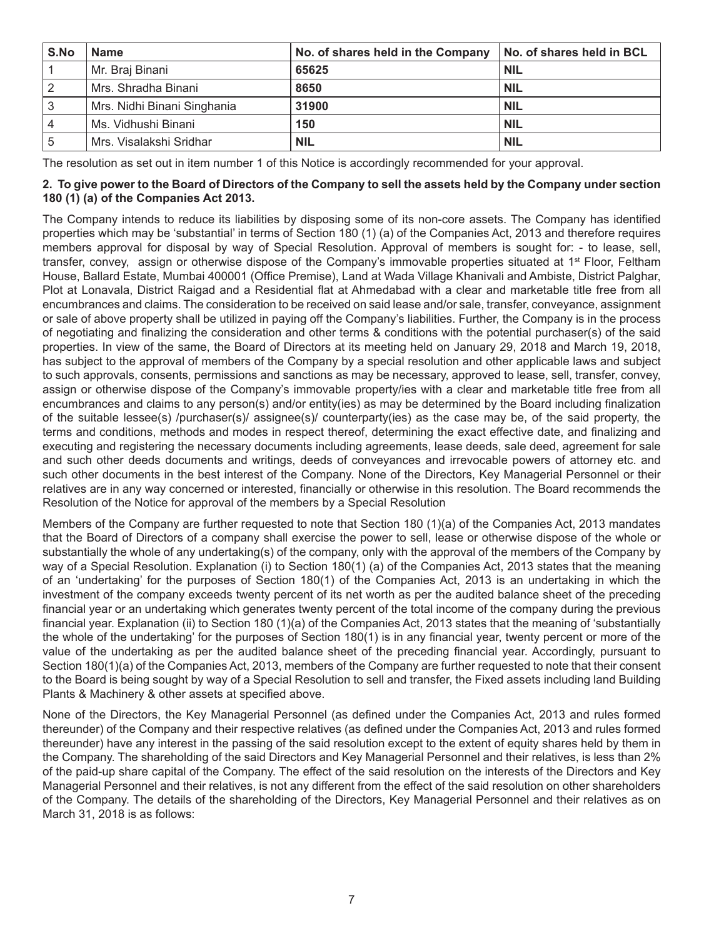| S.No | <b>Name</b>                 | No. of shares held in the Company | No. of shares held in BCL |
|------|-----------------------------|-----------------------------------|---------------------------|
|      | Mr. Braj Binani             | 65625                             | <b>NIL</b>                |
|      | Mrs. Shradha Binani         | 8650                              | <b>NIL</b>                |
| 3    | Mrs. Nidhi Binani Singhania | 31900                             | <b>NIL</b>                |
| 4    | Ms. Vidhushi Binani         | 150                               | <b>NIL</b>                |
|      | Mrs. Visalakshi Sridhar     | NIL                               | <b>NIL</b>                |

The resolution as set out in item number 1 of this Notice is accordingly recommended for your approval.

#### **2. To give power to the Board of Directors of the Company to sell the assets held by the Company under section 180 (1) (a) of the Companies Act 2013.**

The Company intends to reduce its liabilities by disposing some of its non-core assets. The Company has identified properties which may be 'substantial' in terms of Section 180 (1) (a) of the Companies Act, 2013 and therefore requires members approval for disposal by way of Special Resolution. Approval of members is sought for: - to lease, sell, transfer, convey, assign or otherwise dispose of the Company's immovable properties situated at 1<sup>st</sup> Floor, Feltham House, Ballard Estate, Mumbai 400001 (Office Premise), Land at Wada Village Khanivali and Ambiste, District Palghar, Plot at Lonavala, District Raigad and a Residential flat at Ahmedabad with a clear and marketable title free from all encumbrances and claims. The consideration to be received on said lease and/or sale, transfer, conveyance, assignment or sale of above property shall be utilized in paying off the Company's liabilities. Further, the Company is in the process of negotiating and finalizing the consideration and other terms & conditions with the potential purchaser(s) of the said properties. In view of the same, the Board of Directors at its meeting held on January 29, 2018 and March 19, 2018, has subject to the approval of members of the Company by a special resolution and other applicable laws and subject to such approvals, consents, permissions and sanctions as may be necessary, approved to lease, sell, transfer, convey, assign or otherwise dispose of the Company's immovable property/ies with a clear and marketable title free from all encumbrances and claims to any person(s) and/or entity(ies) as may be determined by the Board including finalization of the suitable lessee(s) /purchaser(s)/ assignee(s)/ counterparty(ies) as the case may be, of the said property, the terms and conditions, methods and modes in respect thereof, determining the exact effective date, and finalizing and executing and registering the necessary documents including agreements, lease deeds, sale deed, agreement for sale and such other deeds documents and writings, deeds of conveyances and irrevocable powers of attorney etc. and such other documents in the best interest of the Company. None of the Directors, Key Managerial Personnel or their relatives are in any way concerned or interested, financially or otherwise in this resolution. The Board recommends the Resolution of the Notice for approval of the members by a Special Resolution

Members of the Company are further requested to note that Section 180 (1)(a) of the Companies Act, 2013 mandates that the Board of Directors of a company shall exercise the power to sell, lease or otherwise dispose of the whole or substantially the whole of any undertaking(s) of the company, only with the approval of the members of the Company by way of a Special Resolution. Explanation (i) to Section 180(1) (a) of the Companies Act, 2013 states that the meaning of an 'undertaking' for the purposes of Section 180(1) of the Companies Act, 2013 is an undertaking in which the investment of the company exceeds twenty percent of its net worth as per the audited balance sheet of the preceding financial year or an undertaking which generates twenty percent of the total income of the company during the previous financial year. Explanation (ii) to Section 180 (1)(a) of the Companies Act, 2013 states that the meaning of 'substantially the whole of the undertaking' for the purposes of Section 180(1) is in any financial year, twenty percent or more of the value of the undertaking as per the audited balance sheet of the preceding financial year. Accordingly, pursuant to Section 180(1)(a) of the Companies Act, 2013, members of the Company are further requested to note that their consent to the Board is being sought by way of a Special Resolution to sell and transfer, the Fixed assets including land Building Plants & Machinery & other assets at specified above.

None of the Directors, the Key Managerial Personnel (as defined under the Companies Act, 2013 and rules formed thereunder) of the Company and their respective relatives (as defined under the Companies Act, 2013 and rules formed thereunder) have any interest in the passing of the said resolution except to the extent of equity shares held by them in the Company. The shareholding of the said Directors and Key Managerial Personnel and their relatives, is less than 2% of the paid-up share capital of the Company. The effect of the said resolution on the interests of the Directors and Key Managerial Personnel and their relatives, is not any different from the effect of the said resolution on other shareholders of the Company. The details of the shareholding of the Directors, Key Managerial Personnel and their relatives as on March 31, 2018 is as follows: